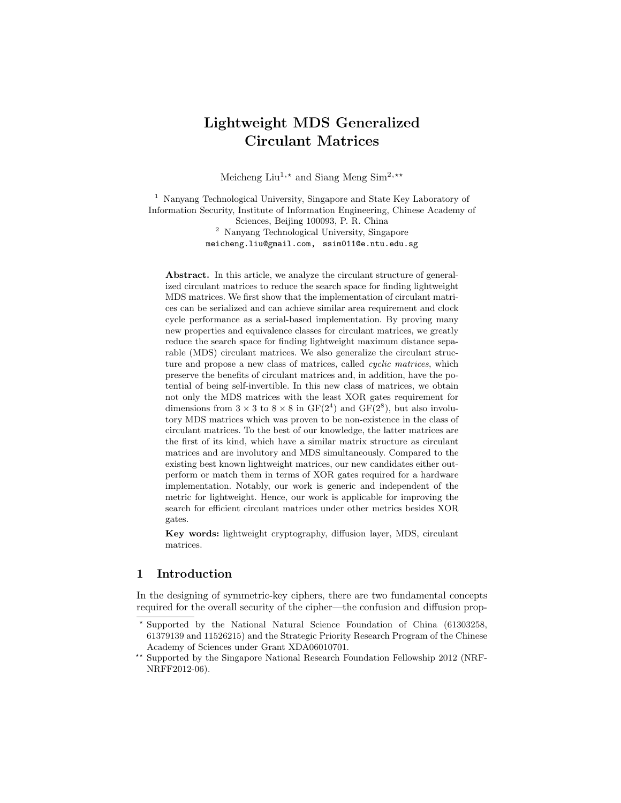# Lightweight MDS Generalized Circulant Matrices

Meicheng Liu<sup>1,\*</sup> and Siang Meng Sim<sup>2,\*\*</sup>

<sup>1</sup> Nanyang Technological University, Singapore and State Key Laboratory of Information Security, Institute of Information Engineering, Chinese Academy of Sciences, Beijing 100093, P. R. China <sup>2</sup> Nanyang Technological University, Singapore meicheng.liu@gmail.com, ssim011@e.ntu.edu.sg

Abstract. In this article, we analyze the circulant structure of generalized circulant matrices to reduce the search space for finding lightweight MDS matrices. We first show that the implementation of circulant matrices can be serialized and can achieve similar area requirement and clock cycle performance as a serial-based implementation. By proving many new properties and equivalence classes for circulant matrices, we greatly reduce the search space for finding lightweight maximum distance separable (MDS) circulant matrices. We also generalize the circulant structure and propose a new class of matrices, called *cyclic matrices*, which preserve the benefits of circulant matrices and, in addition, have the potential of being self-invertible. In this new class of matrices, we obtain not only the MDS matrices with the least XOR gates requirement for dimensions from  $3 \times 3$  to  $8 \times 8$  in GF(2<sup>4</sup>) and GF(2<sup>8</sup>), but also involutory MDS matrices which was proven to be non-existence in the class of circulant matrices. To the best of our knowledge, the latter matrices are the first of its kind, which have a similar matrix structure as circulant matrices and are involutory and MDS simultaneously. Compared to the existing best known lightweight matrices, our new candidates either outperform or match them in terms of XOR gates required for a hardware implementation. Notably, our work is generic and independent of the metric for lightweight. Hence, our work is applicable for improving the search for efficient circulant matrices under other metrics besides XOR gates.

Key words: lightweight cryptography, diffusion layer, MDS, circulant matrices.

# 1 Introduction

In the designing of symmetric-key ciphers, there are two fundamental concepts required for the overall security of the cipher—the confusion and diffusion prop-

<sup>?</sup> Supported by the National Natural Science Foundation of China (61303258, 61379139 and 11526215) and the Strategic Priority Research Program of the Chinese Academy of Sciences under Grant XDA06010701.

<sup>\*\*</sup> Supported by the Singapore National Research Foundation Fellowship 2012 (NRF-NRFF2012-06).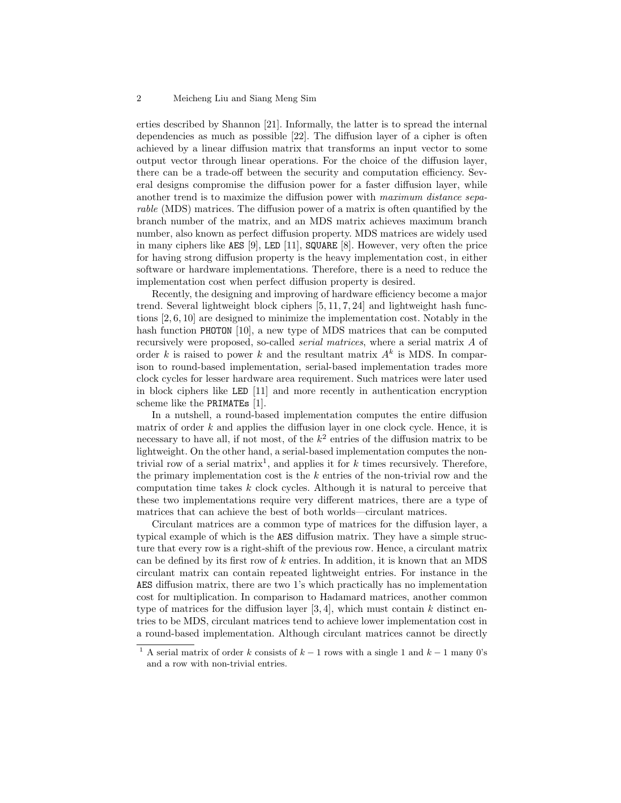erties described by Shannon [21]. Informally, the latter is to spread the internal dependencies as much as possible [22]. The diffusion layer of a cipher is often achieved by a linear diffusion matrix that transforms an input vector to some output vector through linear operations. For the choice of the diffusion layer, there can be a trade-off between the security and computation efficiency. Several designs compromise the diffusion power for a faster diffusion layer, while another trend is to maximize the diffusion power with maximum distance separable (MDS) matrices. The diffusion power of a matrix is often quantified by the branch number of the matrix, and an MDS matrix achieves maximum branch number, also known as perfect diffusion property. MDS matrices are widely used in many ciphers like AES [9], LED [11], SQUARE [8]. However, very often the price for having strong diffusion property is the heavy implementation cost, in either software or hardware implementations. Therefore, there is a need to reduce the implementation cost when perfect diffusion property is desired.

Recently, the designing and improving of hardware efficiency become a major trend. Several lightweight block ciphers [5, 11, 7, 24] and lightweight hash functions [2, 6, 10] are designed to minimize the implementation cost. Notably in the hash function PHOTON [10], a new type of MDS matrices that can be computed recursively were proposed, so-called serial matrices, where a serial matrix A of order k is raised to power k and the resultant matrix  $A<sup>k</sup>$  is MDS. In comparison to round-based implementation, serial-based implementation trades more clock cycles for lesser hardware area requirement. Such matrices were later used in block ciphers like LED [11] and more recently in authentication encryption scheme like the PRIMATEs [1].

In a nutshell, a round-based implementation computes the entire diffusion matrix of order  $k$  and applies the diffusion layer in one clock cycle. Hence, it is necessary to have all, if not most, of the  $k^2$  entries of the diffusion matrix to be lightweight. On the other hand, a serial-based implementation computes the nontrivial row of a serial matrix<sup>1</sup>, and applies it for k times recursively. Therefore, the primary implementation cost is the  $k$  entries of the non-trivial row and the computation time takes  $k$  clock cycles. Although it is natural to perceive that these two implementations require very different matrices, there are a type of matrices that can achieve the best of both worlds—circulant matrices.

Circulant matrices are a common type of matrices for the diffusion layer, a typical example of which is the AES diffusion matrix. They have a simple structure that every row is a right-shift of the previous row. Hence, a circulant matrix can be defined by its first row of  $k$  entries. In addition, it is known that an MDS circulant matrix can contain repeated lightweight entries. For instance in the AES diffusion matrix, there are two 1's which practically has no implementation cost for multiplication. In comparison to Hadamard matrices, another common type of matrices for the diffusion layer [3, 4], which must contain k distinct entries to be MDS, circulant matrices tend to achieve lower implementation cost in a round-based implementation. Although circulant matrices cannot be directly

<sup>&</sup>lt;sup>1</sup> A serial matrix of order k consists of  $k - 1$  rows with a single 1 and  $k - 1$  many 0's and a row with non-trivial entries.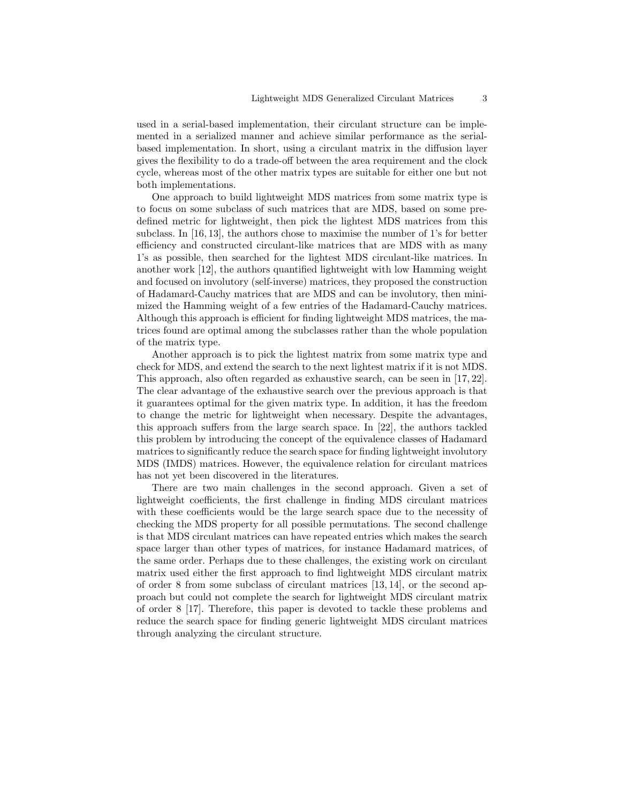used in a serial-based implementation, their circulant structure can be implemented in a serialized manner and achieve similar performance as the serialbased implementation. In short, using a circulant matrix in the diffusion layer gives the flexibility to do a trade-off between the area requirement and the clock cycle, whereas most of the other matrix types are suitable for either one but not both implementations.

One approach to build lightweight MDS matrices from some matrix type is to focus on some subclass of such matrices that are MDS, based on some predefined metric for lightweight, then pick the lightest MDS matrices from this subclass. In [16, 13], the authors chose to maximise the number of 1's for better efficiency and constructed circulant-like matrices that are MDS with as many 1's as possible, then searched for the lightest MDS circulant-like matrices. In another work [12], the authors quantified lightweight with low Hamming weight and focused on involutory (self-inverse) matrices, they proposed the construction of Hadamard-Cauchy matrices that are MDS and can be involutory, then minimized the Hamming weight of a few entries of the Hadamard-Cauchy matrices. Although this approach is efficient for finding lightweight MDS matrices, the matrices found are optimal among the subclasses rather than the whole population of the matrix type.

Another approach is to pick the lightest matrix from some matrix type and check for MDS, and extend the search to the next lightest matrix if it is not MDS. This approach, also often regarded as exhaustive search, can be seen in [17, 22]. The clear advantage of the exhaustive search over the previous approach is that it guarantees optimal for the given matrix type. In addition, it has the freedom to change the metric for lightweight when necessary. Despite the advantages, this approach suffers from the large search space. In [22], the authors tackled this problem by introducing the concept of the equivalence classes of Hadamard matrices to significantly reduce the search space for finding lightweight involutory MDS (IMDS) matrices. However, the equivalence relation for circulant matrices has not yet been discovered in the literatures.

There are two main challenges in the second approach. Given a set of lightweight coefficients, the first challenge in finding MDS circulant matrices with these coefficients would be the large search space due to the necessity of checking the MDS property for all possible permutations. The second challenge is that MDS circulant matrices can have repeated entries which makes the search space larger than other types of matrices, for instance Hadamard matrices, of the same order. Perhaps due to these challenges, the existing work on circulant matrix used either the first approach to find lightweight MDS circulant matrix of order 8 from some subclass of circulant matrices [13, 14], or the second approach but could not complete the search for lightweight MDS circulant matrix of order 8 [17]. Therefore, this paper is devoted to tackle these problems and reduce the search space for finding generic lightweight MDS circulant matrices through analyzing the circulant structure.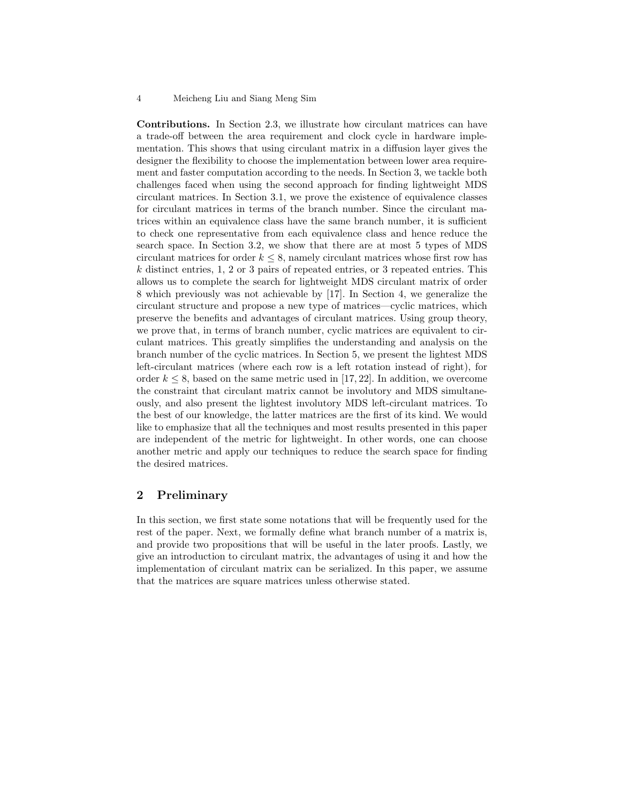Contributions. In Section 2.3, we illustrate how circulant matrices can have a trade-off between the area requirement and clock cycle in hardware implementation. This shows that using circulant matrix in a diffusion layer gives the designer the flexibility to choose the implementation between lower area requirement and faster computation according to the needs. In Section 3, we tackle both challenges faced when using the second approach for finding lightweight MDS circulant matrices. In Section 3.1, we prove the existence of equivalence classes for circulant matrices in terms of the branch number. Since the circulant matrices within an equivalence class have the same branch number, it is sufficient to check one representative from each equivalence class and hence reduce the search space. In Section 3.2, we show that there are at most 5 types of MDS circulant matrices for order  $k \leq 8$ , namely circulant matrices whose first row has k distinct entries, 1, 2 or 3 pairs of repeated entries, or 3 repeated entries. This allows us to complete the search for lightweight MDS circulant matrix of order 8 which previously was not achievable by [17]. In Section 4, we generalize the circulant structure and propose a new type of matrices—cyclic matrices, which preserve the benefits and advantages of circulant matrices. Using group theory, we prove that, in terms of branch number, cyclic matrices are equivalent to circulant matrices. This greatly simplifies the understanding and analysis on the branch number of the cyclic matrices. In Section 5, we present the lightest MDS left-circulant matrices (where each row is a left rotation instead of right), for order  $k \leq 8$ , based on the same metric used in [17, 22]. In addition, we overcome the constraint that circulant matrix cannot be involutory and MDS simultaneously, and also present the lightest involutory MDS left-circulant matrices. To the best of our knowledge, the latter matrices are the first of its kind. We would like to emphasize that all the techniques and most results presented in this paper are independent of the metric for lightweight. In other words, one can choose another metric and apply our techniques to reduce the search space for finding the desired matrices.

# 2 Preliminary

In this section, we first state some notations that will be frequently used for the rest of the paper. Next, we formally define what branch number of a matrix is, and provide two propositions that will be useful in the later proofs. Lastly, we give an introduction to circulant matrix, the advantages of using it and how the implementation of circulant matrix can be serialized. In this paper, we assume that the matrices are square matrices unless otherwise stated.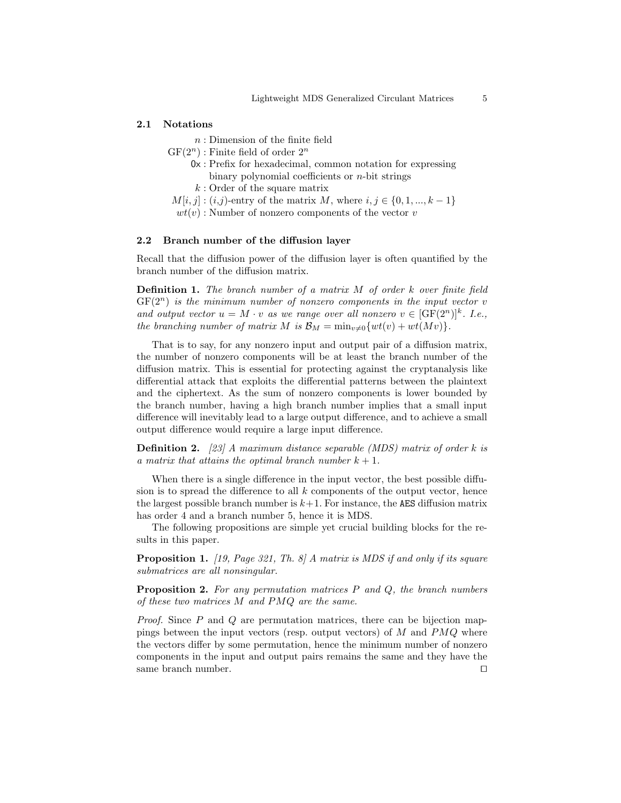### 2.1 Notations

 $n:$  Dimension of the finite field

 $GF(2^n)$ : Finite field of order  $2^n$ 

- 0x : Prefix for hexadecimal, common notation for expressing binary polynomial coefficients or n-bit strings
- $k$  : Order of the square matrix
- $M[i, j] : (i, j)$ -entry of the matrix M, where  $i, j \in \{0, 1, ..., k-1\}$
- $wt(v)$ : Number of nonzero components of the vector v

### 2.2 Branch number of the diffusion layer

Recall that the diffusion power of the diffusion layer is often quantified by the branch number of the diffusion matrix.

**Definition 1.** The branch number of a matrix  $M$  of order  $k$  over finite field  $GF(2^n)$  is the minimum number of nonzero components in the input vector v and output vector  $u = M \cdot v$  as we range over all nonzero  $v \in [\text{GF}(2^n)]^k$ . I.e., the branching number of matrix M is  $\mathcal{B}_M = \min_{v \neq 0} \{wt(v) + wt(Mv)\}.$ 

That is to say, for any nonzero input and output pair of a diffusion matrix, the number of nonzero components will be at least the branch number of the diffusion matrix. This is essential for protecting against the cryptanalysis like differential attack that exploits the differential patterns between the plaintext and the ciphertext. As the sum of nonzero components is lower bounded by the branch number, having a high branch number implies that a small input difference will inevitably lead to a large output difference, and to achieve a small output difference would require a large input difference.

**Definition 2.** [23] A maximum distance separable (MDS) matrix of order k is a matrix that attains the optimal branch number  $k + 1$ .

When there is a single difference in the input vector, the best possible diffusion is to spread the difference to all  $k$  components of the output vector, hence the largest possible branch number is  $k+1$ . For instance, the AES diffusion matrix has order 4 and a branch number 5, hence it is MDS.

The following propositions are simple yet crucial building blocks for the results in this paper.

**Proposition 1.** [19, Page 321, Th. 8] A matrix is MDS if and only if its square submatrices are all nonsingular.

**Proposition 2.** For any permutation matrices  $P$  and  $Q$ , the branch numbers of these two matrices M and PMQ are the same.

Proof. Since P and Q are permutation matrices, there can be bijection mappings between the input vectors (resp. output vectors) of  $M$  and  $PMQ$  where the vectors differ by some permutation, hence the minimum number of nonzero components in the input and output pairs remains the same and they have the same branch number.  $\Box$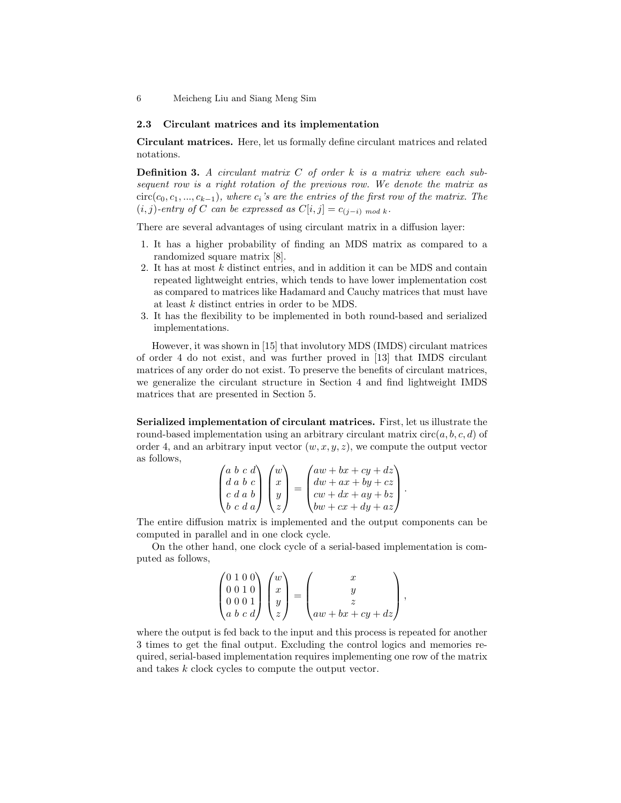### 2.3 Circulant matrices and its implementation

Circulant matrices. Here, let us formally define circulant matrices and related notations.

**Definition 3.** A circulant matrix  $C$  of order  $k$  is a matrix where each subsequent row is a right rotation of the previous row. We denote the matrix as  $circ(c_0, c_1, ..., c_{k-1})$ , where  $c_i$ 's are the entries of the first row of the matrix. The  $(i, j)$ -entry of C can be expressed as  $C[i, j] = c_{(j-i) \mod k}$ .

There are several advantages of using circulant matrix in a diffusion layer:

- 1. It has a higher probability of finding an MDS matrix as compared to a randomized square matrix [8].
- 2. It has at most k distinct entries, and in addition it can be MDS and contain repeated lightweight entries, which tends to have lower implementation cost as compared to matrices like Hadamard and Cauchy matrices that must have at least k distinct entries in order to be MDS.
- 3. It has the flexibility to be implemented in both round-based and serialized implementations.

However, it was shown in [15] that involutory MDS (IMDS) circulant matrices of order 4 do not exist, and was further proved in [13] that IMDS circulant matrices of any order do not exist. To preserve the benefits of circulant matrices, we generalize the circulant structure in Section 4 and find lightweight IMDS matrices that are presented in Section 5.

Serialized implementation of circulant matrices. First, let us illustrate the round-based implementation using an arbitrary circulant matrix  $circ(a, b, c, d)$  of order 4, and an arbitrary input vector  $(w, x, y, z)$ , we compute the output vector as follows,  $\mathcal{L}$ 

$$
\begin{pmatrix} a & b & c & d \\ d & a & b & c \\ c & d & a & b \\ b & c & d & a \end{pmatrix} \begin{pmatrix} w \\ x \\ y \\ z \end{pmatrix} = \begin{pmatrix} aw + bx + cy + dz \\ dw + ax + by + cz \\ cw + dx + ay + bz \\ bw + cx + dy + az \end{pmatrix}.
$$

The entire diffusion matrix is implemented and the output components can be computed in parallel and in one clock cycle.

On the other hand, one clock cycle of a serial-based implementation is computed as follows,

$$
\begin{pmatrix} 0 & 1 & 0 & 0 \\ 0 & 0 & 1 & 0 \\ 0 & 0 & 0 & 1 \\ a & b & c & d \end{pmatrix} \begin{pmatrix} w \\ x \\ y \\ z \end{pmatrix} = \begin{pmatrix} x \\ y \\ z \\ aw + bx + cy + dz \end{pmatrix},
$$

where the output is fed back to the input and this process is repeated for another 3 times to get the final output. Excluding the control logics and memories required, serial-based implementation requires implementing one row of the matrix and takes k clock cycles to compute the output vector.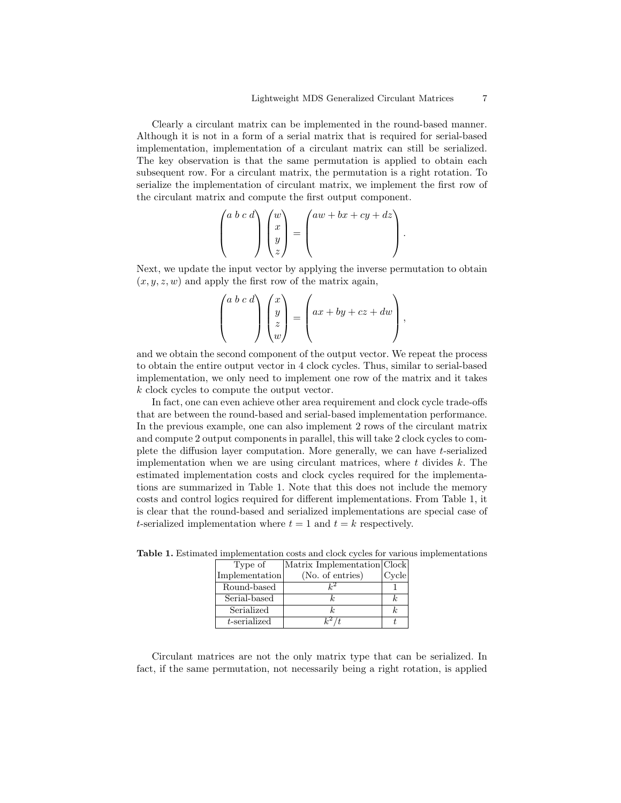Clearly a circulant matrix can be implemented in the round-based manner. Although it is not in a form of a serial matrix that is required for serial-based implementation, implementation of a circulant matrix can still be serialized. The key observation is that the same permutation is applied to obtain each subsequent row. For a circulant matrix, the permutation is a right rotation. To serialize the implementation of circulant matrix, we implement the first row of the circulant matrix and compute the first output component.

$$
\begin{pmatrix} a & b & c & d \\ & & \end{pmatrix} \begin{pmatrix} w \\ x \\ y \\ z \end{pmatrix} = \begin{pmatrix} aw + bx + cy + dz \\ & & \end{pmatrix}.
$$

Next, we update the input vector by applying the inverse permutation to obtain  $(x, y, z, w)$  and apply the first row of the matrix again,

$$
\begin{pmatrix} a & b & c & d \\ & & \ddots & \\ & & & w \end{pmatrix} \begin{pmatrix} x \\ y \\ z \\ w \end{pmatrix} = \begin{pmatrix} ax + by + cz + dw \\ & & \ddots \end{pmatrix},
$$

and we obtain the second component of the output vector. We repeat the process to obtain the entire output vector in 4 clock cycles. Thus, similar to serial-based implementation, we only need to implement one row of the matrix and it takes k clock cycles to compute the output vector.

In fact, one can even achieve other area requirement and clock cycle trade-offs that are between the round-based and serial-based implementation performance. In the previous example, one can also implement 2 rows of the circulant matrix and compute 2 output components in parallel, this will take 2 clock cycles to complete the diffusion layer computation. More generally, we can have t-serialized implementation when we are using circulant matrices, where  $t$  divides  $k$ . The estimated implementation costs and clock cycles required for the implementations are summarized in Table 1. Note that this does not include the memory costs and control logics required for different implementations. From Table 1, it is clear that the round-based and serialized implementations are special case of t-serialized implementation where  $t = 1$  and  $t = k$  respectively.

| Type of         | Matrix Implementation Clock |                |
|-----------------|-----------------------------|----------------|
| Implementation  | (No. of entries)            | Cycle          |
| Round-based     | ı.2                         |                |
| Serial-based    |                             | k:             |
| Serialized      |                             | k <sub>i</sub> |
| $t$ -serialized |                             |                |

Table 1. Estimated implementation costs and clock cycles for various implementations

Circulant matrices are not the only matrix type that can be serialized. In fact, if the same permutation, not necessarily being a right rotation, is applied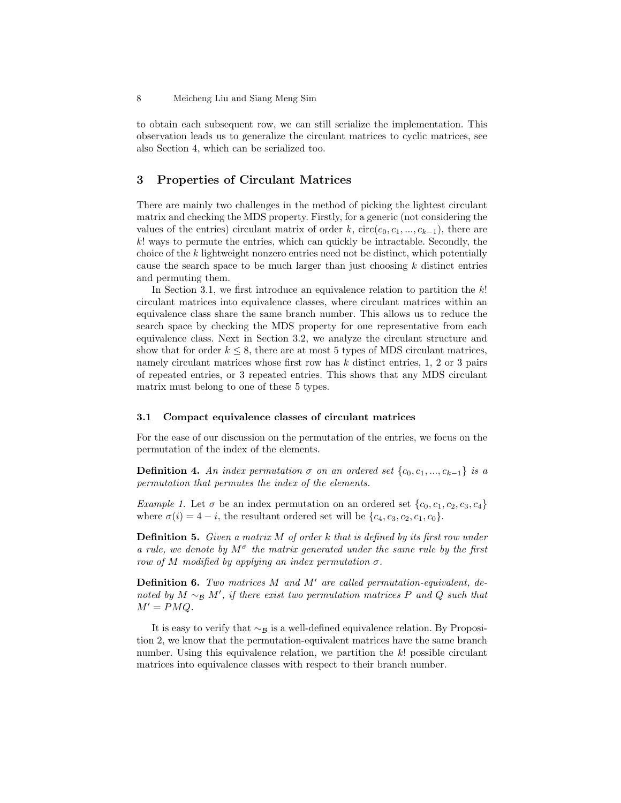to obtain each subsequent row, we can still serialize the implementation. This observation leads us to generalize the circulant matrices to cyclic matrices, see also Section 4, which can be serialized too.

## 3 Properties of Circulant Matrices

There are mainly two challenges in the method of picking the lightest circulant matrix and checking the MDS property. Firstly, for a generic (not considering the values of the entries) circulant matrix of order k,  $circ(c_0, c_1, ..., c_{k-1})$ , there are k! ways to permute the entries, which can quickly be intractable. Secondly, the choice of the k lightweight nonzero entries need not be distinct, which potentially cause the search space to be much larger than just choosing  $k$  distinct entries and permuting them.

In Section 3.1, we first introduce an equivalence relation to partition the  $k!$ circulant matrices into equivalence classes, where circulant matrices within an equivalence class share the same branch number. This allows us to reduce the search space by checking the MDS property for one representative from each equivalence class. Next in Section 3.2, we analyze the circulant structure and show that for order  $k \leq 8$ , there are at most 5 types of MDS circulant matrices, namely circulant matrices whose first row has  $k$  distinct entries, 1, 2 or 3 pairs of repeated entries, or 3 repeated entries. This shows that any MDS circulant matrix must belong to one of these 5 types.

#### 3.1 Compact equivalence classes of circulant matrices

For the ease of our discussion on the permutation of the entries, we focus on the permutation of the index of the elements.

**Definition 4.** An index permutation  $\sigma$  on an ordered set  $\{c_0, c_1, ..., c_{k-1}\}\$  is a permutation that permutes the index of the elements.

Example 1. Let  $\sigma$  be an index permutation on an ordered set  $\{c_0, c_1, c_2, c_3, c_4\}$ where  $\sigma(i) = 4 - i$ , the resultant ordered set will be  $\{c_4, c_3, c_2, c_1, c_0\}$ .

**Definition 5.** Given a matrix  $M$  of order  $k$  that is defined by its first row under a rule, we denote by  $M^{\sigma}$  the matrix generated under the same rule by the first row of M modified by applying an index permutation  $\sigma$ .

**Definition 6.** Two matrices M and M' are called permutation-equivalent, denoted by  $M \sim_B M'$ , if there exist two permutation matrices P and Q such that  $M' = PMQ.$ 

It is easy to verify that  $\sim_B$  is a well-defined equivalence relation. By Proposition 2, we know that the permutation-equivalent matrices have the same branch number. Using this equivalence relation, we partition the  $k!$  possible circulant matrices into equivalence classes with respect to their branch number.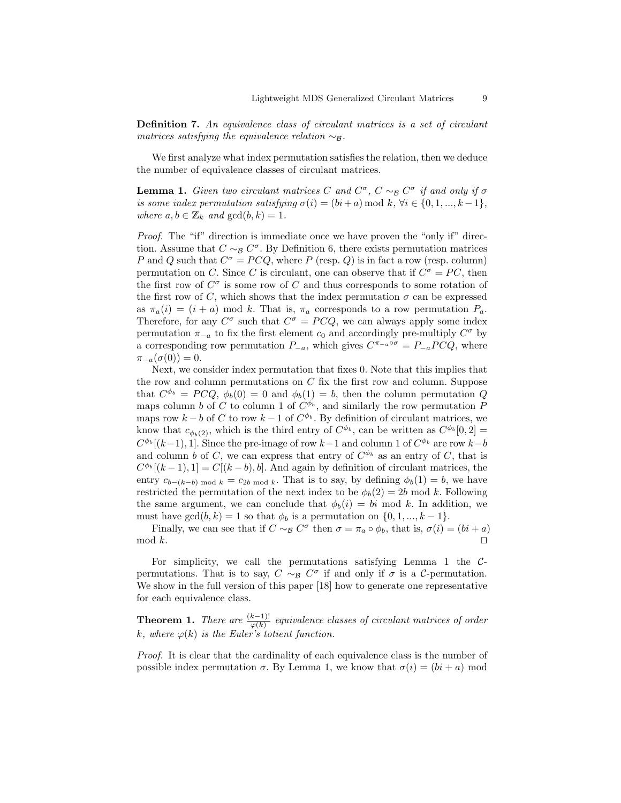Definition 7. An equivalence class of circulant matrices is a set of circulant matrices satisfying the equivalence relation  $~\sim_B$ .

We first analyze what index permutation satisfies the relation, then we deduce the number of equivalence classes of circulant matrices.

**Lemma 1.** Given two circulant matrices C and  $C^{\sigma}$ ,  $C \sim_{\mathcal{B}} C^{\sigma}$  if and only if  $\sigma$ is some index permutation satisfying  $\sigma(i) = (bi+a) \mod k$ ,  $\forall i \in \{0,1,...,k-1\}$ , where  $a, b \in \mathbb{Z}_k$  and  $gcd(b, k) = 1$ .

Proof. The "if" direction is immediate once we have proven the "only if" direction. Assume that  $C \sim_B C^{\sigma}$ . By Definition 6, there exists permutation matrices P and Q such that  $C^{\sigma} = PCQ$ , where P (resp. Q) is in fact a row (resp. column) permutation on C. Since C is circulant, one can observe that if  $C^{\sigma} = PC$ , then the first row of  $C^{\sigma}$  is some row of C and thus corresponds to some rotation of the first row of C, which shows that the index permutation  $\sigma$  can be expressed as  $\pi_a(i) = (i + a) \mod k$ . That is,  $\pi_a$  corresponds to a row permutation  $P_a$ . Therefore, for any  $C^{\sigma}$  such that  $C^{\sigma} = PCQ$ , we can always apply some index permutation  $\pi_{-a}$  to fix the first element  $c_0$  and accordingly pre-multiply  $C^{\sigma}$  by a corresponding row permutation  $P_{-a}$ , which gives  $C^{\pi_{-a} \circ \sigma} = P_{-a} PCQ$ , where  $\pi_{-a}(\sigma(0))=0.$ 

Next, we consider index permutation that fixes 0. Note that this implies that the row and column permutations on  $C$  fix the first row and column. Suppose that  $C^{\phi_b} = PCQ$ ,  $\phi_b(0) = 0$  and  $\phi_b(1) = b$ , then the column permutation Q maps column b of C to column 1 of  $C^{\phi_b}$ , and similarly the row permutation P maps row  $k - b$  of C to row  $k - 1$  of  $C^{\phi_b}$ . By definition of circulant matrices, we know that  $c_{\phi_b(2)}$ , which is the third entry of  $C^{\phi_b}$ , can be written as  $C^{\phi_b}[0,2] =$  $C^{\phi_b}[(k-1),1]$ . Since the pre-image of row  $k-1$  and column 1 of  $C^{\phi_b}$  are row  $k-b$ and column b of C, we can express that entry of  $C^{\phi_b}$  as an entry of C, that is  $C^{\phi_b}[(k-1),1] = C[(k-b),b]$ . And again by definition of circulant matrices, the entry  $c_{b-(k-b) \mod k} = c_{2b \mod k}$ . That is to say, by defining  $\phi_b(1) = b$ , we have restricted the permutation of the next index to be  $\phi_h(2) = 2b \mod k$ . Following the same argument, we can conclude that  $\phi_b(i) = bi \text{ mod } k$ . In addition, we must have  $gcd(b, k) = 1$  so that  $\phi_b$  is a permutation on  $\{0, 1, ..., k-1\}.$ 

Finally, we can see that if  $C \sim_B C^{\sigma}$  then  $\sigma = \pi_a \circ \phi_b$ , that is,  $\sigma(i) = (bi + a)$  $\Box$  mod k.

For simplicity, we call the permutations satisfying Lemma 1 the Cpermutations. That is to say,  $C \sim_{\mathcal{B}} C^{\sigma}$  if and only if  $\sigma$  is a  $\mathcal{C}$ -permutation. We show in the full version of this paper [18] how to generate one representative for each equivalence class.

**Theorem 1.** There are  $\frac{(k-1)!}{\varphi(k)}$  equivalence classes of circulant matrices of order k, where  $\varphi(k)$  is the Euler's totient function.

Proof. It is clear that the cardinality of each equivalence class is the number of possible index permutation  $\sigma$ . By Lemma 1, we know that  $\sigma(i) = (bi + a) \text{ mod }$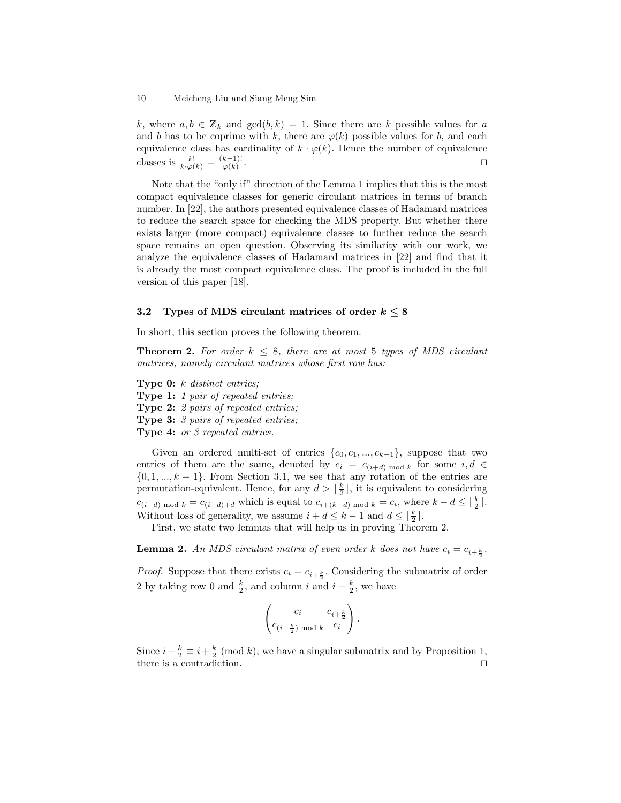k, where  $a, b \in \mathbb{Z}_k$  and  $gcd(b, k) = 1$ . Since there are k possible values for a and b has to be coprime with k, there are  $\varphi(k)$  possible values for b, and each equivalence class has cardinality of  $k \cdot \varphi(k)$ . Hence the number of equivalence classes is  $\frac{k!}{k \cdot \varphi(k)} = \frac{(k-1)!}{\varphi(k)}$  $\overline{\varphi(k)}$ . The contract of the contract of the contract of the contract of the contract of the contract of the contract of the contract of the contract of the contract of the contract of the contract of the contract of the contract

Note that the "only if" direction of the Lemma 1 implies that this is the most compact equivalence classes for generic circulant matrices in terms of branch number. In [22], the authors presented equivalence classes of Hadamard matrices to reduce the search space for checking the MDS property. But whether there exists larger (more compact) equivalence classes to further reduce the search space remains an open question. Observing its similarity with our work, we analyze the equivalence classes of Hadamard matrices in [22] and find that it is already the most compact equivalence class. The proof is included in the full version of this paper [18].

### 3.2 Types of MDS circulant matrices of order  $k \leq 8$

In short, this section proves the following theorem.

**Theorem 2.** For order  $k \leq 8$ , there are at most 5 types of MDS circulant matrices, namely circulant matrices whose first row has:

- Type 0: k distinct entries;
- Type 1: 1 pair of repeated entries;

Type 2: 2 pairs of repeated entries;

- Type 3: 3 pairs of repeated entries;
- Type 4: or 3 repeated entries.

Given an ordered multi-set of entries  $\{c_0, c_1, ..., c_{k-1}\}$ , suppose that two entries of them are the same, denoted by  $c_i = c_{(i+d) \mod k}$  for some  $i, d \in$  $\{0, 1, \ldots, k-1\}$ . From Section 3.1, we see that any rotation of the entries are permutation-equivalent. Hence, for any  $d > \lfloor \frac{k}{2} \rfloor$ , it is equivalent to considering  $c_{(i-d) \mod k} = c_{(i-d)+d}$  which is equal to  $c_{i+(k-d) \mod k} = c_i$ , where  $k-d \leq \lfloor \frac{k}{2} \rfloor$ . Without loss of generality, we assume  $i + d \leq k - 1$  and  $d \leq \lfloor \frac{k}{2} \rfloor$ .

First, we state two lemmas that will help us in proving Theorem 2.

**Lemma 2.** An MDS circulant matrix of even order k does not have  $c_i = c_{i+\frac{k}{2}}$ .

*Proof.* Suppose that there exists  $c_i = c_{i+\frac{k}{2}}$ . Considering the submatrix of order 2 by taking row 0 and  $\frac{k}{2}$ , and column i and  $i + \frac{k}{2}$ , we have

$$
\begin{pmatrix}c_i & c_{i+\frac{k}{2}}\\c_{(i-\frac{k}{2})\bmod k} & c_i\end{pmatrix}.
$$

Since  $i - \frac{k}{2} \equiv i + \frac{k}{2} \pmod{k}$ , we have a singular submatrix and by Proposition 1, there is a contradiction.  $\Box$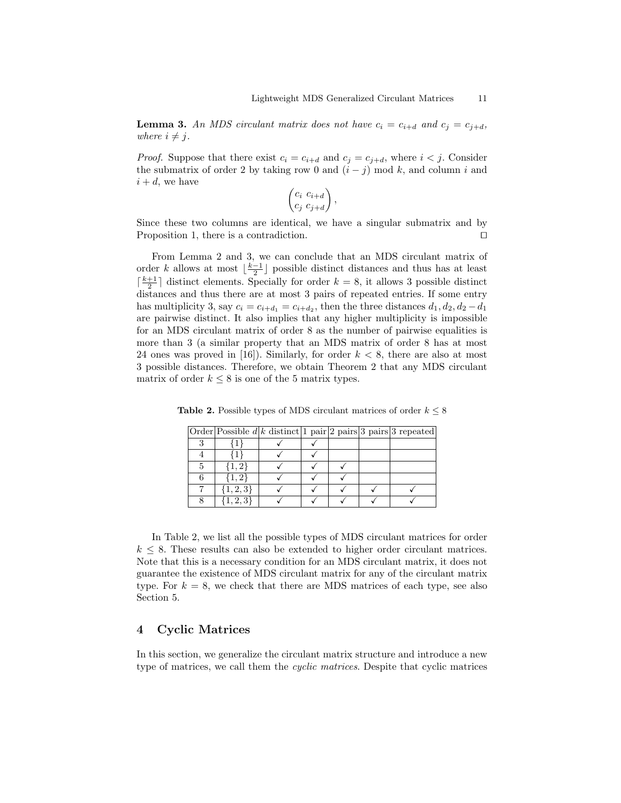**Lemma 3.** An MDS circulant matrix does not have  $c_i = c_{i+d}$  and  $c_j = c_{j+d}$ , where  $i \neq j$ .

*Proof.* Suppose that there exist  $c_i = c_{i+d}$  and  $c_j = c_{j+d}$ , where  $i < j$ . Consider the submatrix of order 2 by taking row 0 and  $(i - j)$  mod k, and column i and  $i + d$ , we have

$$
\begin{pmatrix} c_i & c_{i+d} \\ c_j & c_{j+d} \end{pmatrix},
$$

Since these two columns are identical, we have a singular submatrix and by Proposition 1, there is a contradiction.  $\Box$ 

From Lemma 2 and 3, we can conclude that an MDS circulant matrix of order k allows at most  $\lfloor \frac{k-1}{2} \rfloor$  possible distinct distances and thus has at least  $\lceil \frac{k+1}{2} \rceil$  distinct elements. Specially for order  $k = 8$ , it allows 3 possible distinct distances and thus there are at most 3 pairs of repeated entries. If some entry has multiplicity 3, say  $c_i = c_{i+d_1} = c_{i+d_2}$ , then the three distances  $d_1, d_2, d_2 - d_1$ are pairwise distinct. It also implies that any higher multiplicity is impossible for an MDS circulant matrix of order 8 as the number of pairwise equalities is more than 3 (a similar property that an MDS matrix of order 8 has at most 24 ones was proved in [16]). Similarly, for order  $k < 8$ , there are also at most 3 possible distances. Therefore, we obtain Theorem 2 that any MDS circulant matrix of order  $k \leq 8$  is one of the 5 matrix types.

|  | Order Possible $d k$ distinct 1 pair 2 pairs 3 pairs 3 repeated |  |  |  |  |  |
|--|-----------------------------------------------------------------|--|--|--|--|--|
|  |                                                                 |  |  |  |  |  |
|  |                                                                 |  |  |  |  |  |
|  | $\{1,2\}$                                                       |  |  |  |  |  |
|  | $\{1,2\}$                                                       |  |  |  |  |  |
|  | $\{1, 2, 3\}$                                                   |  |  |  |  |  |
|  | 1, 2, 3                                                         |  |  |  |  |  |

**Table 2.** Possible types of MDS circulant matrices of order  $k \leq 8$ 

In Table 2, we list all the possible types of MDS circulant matrices for order  $k \leq 8$ . These results can also be extended to higher order circulant matrices. Note that this is a necessary condition for an MDS circulant matrix, it does not guarantee the existence of MDS circulant matrix for any of the circulant matrix type. For  $k = 8$ , we check that there are MDS matrices of each type, see also Section 5.

# 4 Cyclic Matrices

In this section, we generalize the circulant matrix structure and introduce a new type of matrices, we call them the cyclic matrices. Despite that cyclic matrices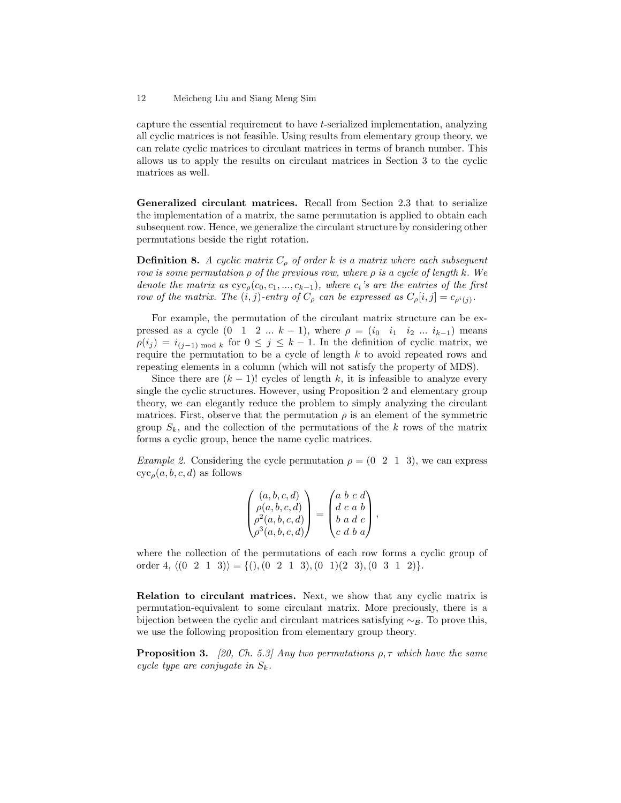capture the essential requirement to have t-serialized implementation, analyzing all cyclic matrices is not feasible. Using results from elementary group theory, we can relate cyclic matrices to circulant matrices in terms of branch number. This allows us to apply the results on circulant matrices in Section 3 to the cyclic matrices as well.

Generalized circulant matrices. Recall from Section 2.3 that to serialize the implementation of a matrix, the same permutation is applied to obtain each subsequent row. Hence, we generalize the circulant structure by considering other permutations beside the right rotation.

**Definition 8.** A cyclic matrix  $C_{\rho}$  of order k is a matrix where each subsequent row is some permutation  $\rho$  of the previous row, where  $\rho$  is a cycle of length k. We denote the matrix as  $\operatorname{cyc}_o(c_0, c_1, ..., c_{k-1})$ , where  $c_i$ 's are the entries of the first row of the matrix. The  $(i, j)$ -entry of  $C_{\rho}$  can be expressed as  $C_{\rho}[i, j] = c_{\rho^{i}(j)}$ .

For example, the permutation of the circulant matrix structure can be expressed as a cycle  $(0 \ 1 \ 2 \ ... \ k-1)$ , where  $\rho = (i_0 \ i_1 \ i_2 \ ... \ i_{k-1})$  means  $\rho(i_j) = i_{(j-1) \bmod k}$  for  $0 \leq j \leq k-1$ . In the definition of cyclic matrix, we require the permutation to be a cycle of length  $k$  to avoid repeated rows and repeating elements in a column (which will not satisfy the property of MDS).

Since there are  $(k - 1)!$  cycles of length k, it is infeasible to analyze every single the cyclic structures. However, using Proposition 2 and elementary group theory, we can elegantly reduce the problem to simply analyzing the circulant matrices. First, observe that the permutation  $\rho$  is an element of the symmetric group  $S_k$ , and the collection of the permutations of the k rows of the matrix forms a cyclic group, hence the name cyclic matrices.

*Example 2.* Considering the cycle permutation  $\rho = (0 \ 2 \ 1 \ 3)$ , we can express  $cyc<sub>\rho</sub>(a, b, c, d)$  as follows

$$
\begin{pmatrix}\n(a, b, c, d) \\
\rho(a, b, c, d) \\
\rho^2(a, b, c, d) \\
\rho^3(a, b, c, d)\n\end{pmatrix} = \begin{pmatrix}\na & b & c & d \\
d & c & a & b \\
b & a & d & c \\
c & d & b & a\n\end{pmatrix},
$$

where the collection of the permutations of each row forms a cyclic group of order 4,  $\langle (0 \ 2 \ 1 \ 3) \rangle = \{(), (0 \ 2 \ 1 \ 3), (0 \ 1)(2 \ 3), (0 \ 3 \ 1 \ 2) \}.$ 

Relation to circulant matrices. Next, we show that any cyclic matrix is permutation-equivalent to some circulant matrix. More preciously, there is a bijection between the cyclic and circulant matrices satisfying  $~\sim_B$ . To prove this, we use the following proposition from elementary group theory.

**Proposition 3.** [20, Ch. 5.3] Any two permutations  $\rho, \tau$  which have the same cycle type are conjugate in  $S_k$ .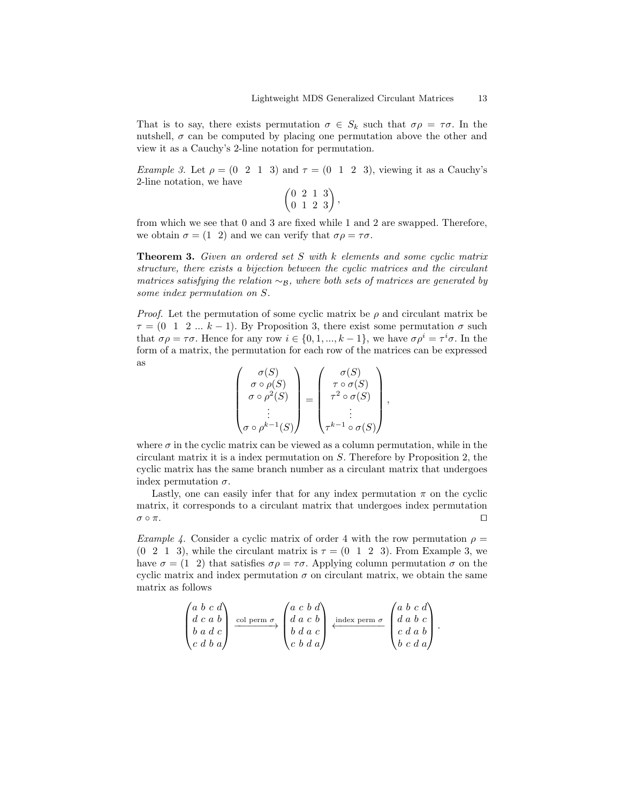That is to say, there exists permutation  $\sigma \in S_k$  such that  $\sigma \rho = \tau \sigma$ . In the nutshell,  $\sigma$  can be computed by placing one permutation above the other and view it as a Cauchy's 2-line notation for permutation.

*Example 3.* Let  $\rho = (0 \ 2 \ 1 \ 3)$  and  $\tau = (0 \ 1 \ 2 \ 3)$ , viewing it as a Cauchy's 2-line notation, we have

 $\begin{pmatrix} 0 & 2 & 1 & 3 \\ 0 & 1 & 2 & 3 \end{pmatrix}$ 

from which we see that 0 and 3 are fixed while 1 and 2 are swapped. Therefore, we obtain  $\sigma = (1 \ 2)$  and we can verify that  $\sigma \rho = \tau \sigma$ .

Theorem 3. Given an ordered set S with k elements and some cyclic matrix structure, there exists a bijection between the cyclic matrices and the circulant matrices satisfying the relation  $\sim_B$ , where both sets of matrices are generated by some index permutation on S.

*Proof.* Let the permutation of some cyclic matrix be  $\rho$  and circulant matrix be  $\tau = (0 \quad 1 \quad 2 \ldots k-1)$ . By Proposition 3, there exist some permutation  $\sigma$  such that  $\sigma \rho = \tau \sigma$ . Hence for any row  $i \in \{0, 1, ..., k-1\}$ , we have  $\sigma \rho^i = \tau^i \sigma$ . In the form of a matrix, the permutation for each row of the matrices can be expressed as

$$
\begin{pmatrix}\n\sigma(S) \\
\sigma \circ \rho(S) \\
\sigma \circ \rho^2(S) \\
\vdots \\
\sigma \circ \rho^{k-1}(S)\n\end{pmatrix} = \begin{pmatrix}\n\sigma(S) \\
\tau \circ \sigma(S) \\
\tau^2 \circ \sigma(S) \\
\vdots \\
\tau^{k-1} \circ \sigma(S)\n\end{pmatrix},
$$

where  $\sigma$  in the cyclic matrix can be viewed as a column permutation, while in the circulant matrix it is a index permutation on S. Therefore by Proposition 2, the cyclic matrix has the same branch number as a circulant matrix that undergoes index permutation  $\sigma$ .

Lastly, one can easily infer that for any index permutation  $\pi$  on the cyclic matrix, it corresponds to a circulant matrix that undergoes index permutation  $\sigma \circ \pi$ .

Example 4. Consider a cyclic matrix of order 4 with the row permutation  $\rho =$  $(0 2 1 3)$ , while the circulant matrix is  $\tau = (0 1 2 3)$ . From Example 3, we have  $\sigma = (1 \ 2)$  that satisfies  $\sigma \rho = \tau \sigma$ . Applying column permutation  $\sigma$  on the cyclic matrix and index permutation  $\sigma$  on circulant matrix, we obtain the same matrix as follows

$$
\begin{pmatrix} a & b & c & d \\ d & c & a & b \\ b & a & d & c \\ c & d & b & a \end{pmatrix} \xrightarrow{\text{col perm }\sigma} \begin{pmatrix} a & c & b & d \\ d & a & c & b \\ b & d & a & c \\ c & b & d & a \end{pmatrix} \xleftarrow{\text{index perm }\sigma} \begin{pmatrix} a & b & c & d \\ d & a & b & c \\ c & d & a & b \\ b & c & d & a \end{pmatrix}.
$$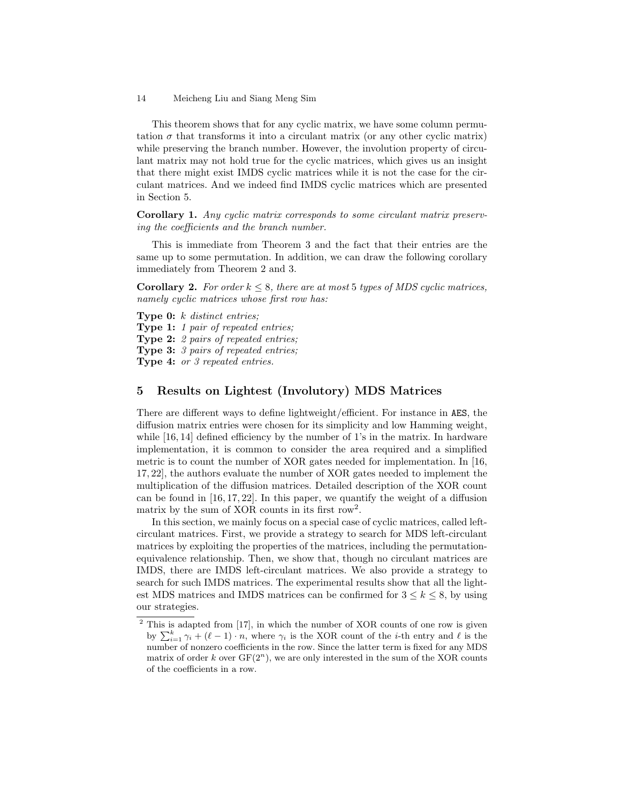This theorem shows that for any cyclic matrix, we have some column permutation  $\sigma$  that transforms it into a circulant matrix (or any other cyclic matrix) while preserving the branch number. However, the involution property of circulant matrix may not hold true for the cyclic matrices, which gives us an insight that there might exist IMDS cyclic matrices while it is not the case for the circulant matrices. And we indeed find IMDS cyclic matrices which are presented in Section 5.

Corollary 1. Any cyclic matrix corresponds to some circulant matrix preserving the coefficients and the branch number.

This is immediate from Theorem 3 and the fact that their entries are the same up to some permutation. In addition, we can draw the following corollary immediately from Theorem 2 and 3.

**Corollary 2.** For order  $k \leq 8$ , there are at most 5 types of MDS cyclic matrices, namely cyclic matrices whose first row has:

Type 0: k distinct entries; Type 1: 1 pair of repeated entries; Type 2: 2 pairs of repeated entries; Type 3: 3 pairs of repeated entries; Type 4: or 3 repeated entries.

# 5 Results on Lightest (Involutory) MDS Matrices

There are different ways to define lightweight/efficient. For instance in AES, the diffusion matrix entries were chosen for its simplicity and low Hamming weight, while [16, 14] defined efficiency by the number of 1's in the matrix. In hardware implementation, it is common to consider the area required and a simplified metric is to count the number of XOR gates needed for implementation. In [16, 17, 22], the authors evaluate the number of XOR gates needed to implement the multiplication of the diffusion matrices. Detailed description of the XOR count can be found in  $[16, 17, 22]$ . In this paper, we quantify the weight of a diffusion matrix by the sum of XOR counts in its first row<sup>2</sup>.

In this section, we mainly focus on a special case of cyclic matrices, called leftcirculant matrices. First, we provide a strategy to search for MDS left-circulant matrices by exploiting the properties of the matrices, including the permutationequivalence relationship. Then, we show that, though no circulant matrices are IMDS, there are IMDS left-circulant matrices. We also provide a strategy to search for such IMDS matrices. The experimental results show that all the lightest MDS matrices and IMDS matrices can be confirmed for  $3 \leq k \leq 8$ , by using our strategies.

<sup>&</sup>lt;sup>2</sup> This is adapted from [17], in which the number of XOR counts of one row is given by  $\sum_{i=1}^{k} \gamma_i + (\ell - 1) \cdot n$ , where  $\gamma_i$  is the XOR count of the *i*-th entry and  $\ell$  is the number of nonzero coefficients in the row. Since the latter term is fixed for any MDS matrix of order  $k$  over  $GF(2^n)$ , we are only interested in the sum of the XOR counts of the coefficients in a row.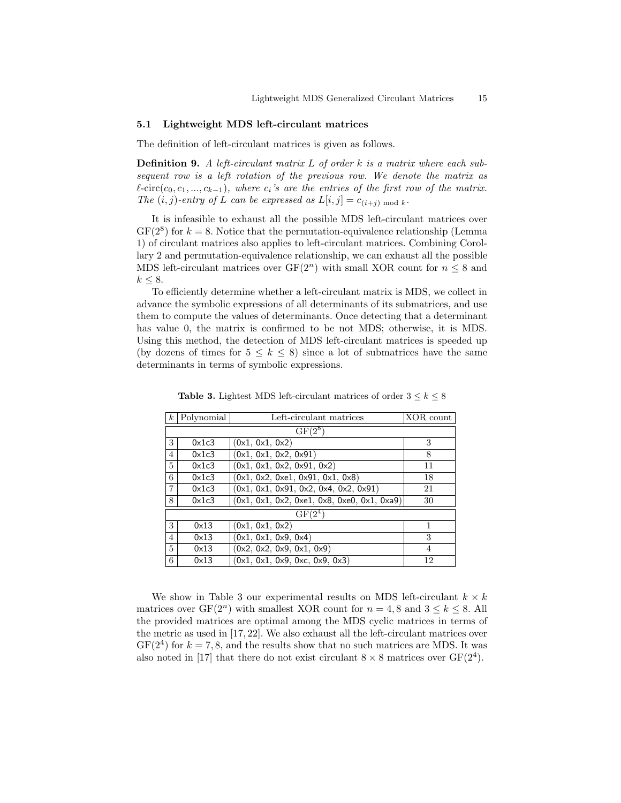### 5.1 Lightweight MDS left-circulant matrices

The definition of left-circulant matrices is given as follows.

**Definition 9.** A left-circulant matrix  $L$  of order  $k$  is a matrix where each subsequent row is a left rotation of the previous row. We denote the matrix as  $\ell$ -circ( $c_0, c_1, ..., c_{k-1}$ ), where  $c_i$ 's are the entries of the first row of the matrix. The  $(i, j)$ -entry of L can be expressed as  $L[i, j] = c_{(i+j) \mod k}$ .

It is infeasible to exhaust all the possible MDS left-circulant matrices over  $GF(2^8)$  for  $k = 8$ . Notice that the permutation-equivalence relationship (Lemma 1) of circulant matrices also applies to left-circulant matrices. Combining Corollary 2 and permutation-equivalence relationship, we can exhaust all the possible MDS left-circulant matrices over  $GF(2^n)$  with small XOR count for  $n \leq 8$  and  $k \leq 8$ .

To efficiently determine whether a left-circulant matrix is MDS, we collect in advance the symbolic expressions of all determinants of its submatrices, and use them to compute the values of determinants. Once detecting that a determinant has value 0, the matrix is confirmed to be not MDS; otherwise, it is MDS. Using this method, the detection of MDS left-circulant matrices is speeded up (by dozens of times for  $5 \leq k \leq 8$ ) since a lot of submatrices have the same determinants in terms of symbolic expressions.

| $\boldsymbol{k}$ | Polynomial  | Left-circulant matrices                       | XOR count |  |  |  |  |  |  |
|------------------|-------------|-----------------------------------------------|-----------|--|--|--|--|--|--|
|                  | $GF(2^8)$   |                                               |           |  |  |  |  |  |  |
| 3                | 0x1c3       | (0x1, 0x1, 0x2)                               | 3         |  |  |  |  |  |  |
| $\overline{4}$   | 0x1c3       | (0x1, 0x1, 0x2, 0x91)                         | 8         |  |  |  |  |  |  |
| $\overline{5}$   | 0x1c3       | (0x1, 0x1, 0x2, 0x91, 0x2)                    | 11        |  |  |  |  |  |  |
| 6                | 0x1c3       | (0x1, 0x2, 0xe1, 0x91, 0x1, 0x8)              | 18        |  |  |  |  |  |  |
| $\overline{7}$   | 0x1c3       | (0x1, 0x1, 0x91, 0x2, 0x4, 0x2, 0x91)         | 21        |  |  |  |  |  |  |
| 8                | 0x1c3       | $(0x1, 0x1, 0x2, 0xe1, 0x8, 0xe0, 0x1, 0xa9)$ | 30        |  |  |  |  |  |  |
|                  |             | $GF(2^4)$                                     |           |  |  |  |  |  |  |
| 3                | $0\times13$ | (0x1, 0x1, 0x2)                               | 1         |  |  |  |  |  |  |
| 4                | $0\times13$ | (0x1, 0x1, 0x9, 0x4)                          | 3         |  |  |  |  |  |  |
| 5                | $0\times13$ | (0x2, 0x2, 0x9, 0x1, 0x9)                     | 4         |  |  |  |  |  |  |
| 6                | $0\times13$ | 12                                            |           |  |  |  |  |  |  |

Table 3. Lightest MDS left-circulant matrices of order  $3 \leq k \leq 8$ 

We show in Table 3 our experimental results on MDS left-circulant  $k \times k$ matrices over  $GF(2^n)$  with smallest XOR count for  $n = 4, 8$  and  $3 \leq k \leq 8$ . All the provided matrices are optimal among the MDS cyclic matrices in terms of the metric as used in [17, 22]. We also exhaust all the left-circulant matrices over  $GF(2<sup>4</sup>)$  for  $k = 7, 8$ , and the results show that no such matrices are MDS. It was also noted in [17] that there do not exist circulant  $8 \times 8$  matrices over  $GF(2^4)$ .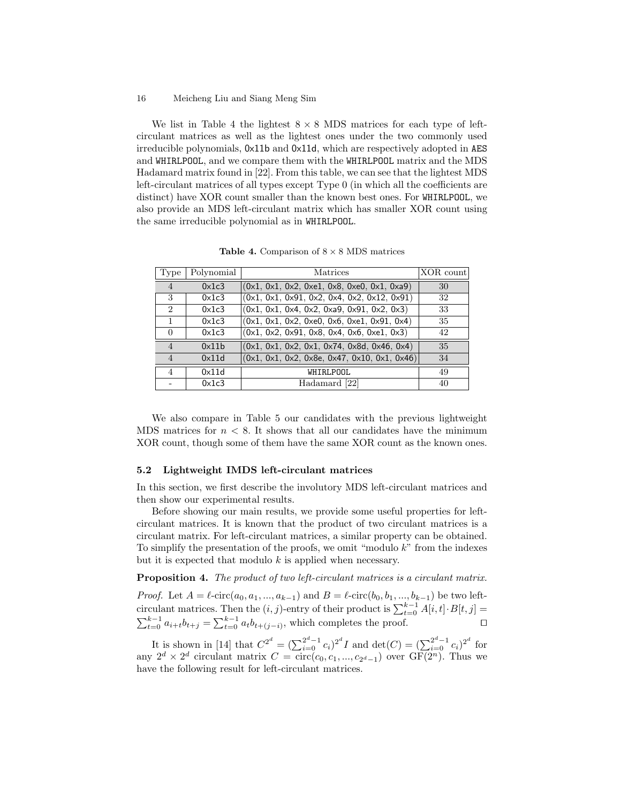We list in Table 4 the lightest  $8 \times 8$  MDS matrices for each type of leftcirculant matrices as well as the lightest ones under the two commonly used irreducible polynomials, 0x11b and 0x11d, which are respectively adopted in AES and WHIRLPOOL, and we compare them with the WHIRLPOOL matrix and the MDS Hadamard matrix found in [22]. From this table, we can see that the lightest MDS left-circulant matrices of all types except Type 0 (in which all the coefficients are distinct) have XOR count smaller than the known best ones. For WHIRLPOOL, we also provide an MDS left-circulant matrix which has smaller XOR count using the same irreducible polynomial as in WHIRLPOOL.

| Type           | Polynomial      | Matrices                                       | XOR count |
|----------------|-----------------|------------------------------------------------|-----------|
| $\overline{4}$ | $0 \times 1$ c3 | $(0x1, 0x1, 0x2, 0xe1, 0x8, 0xe0, 0x1, 0xa9)$  | 30        |
| 3              | 0x1c3           | $(0x1, 0x1, 0x91, 0x2, 0x4, 0x2, 0x12, 0x91)$  | 32        |
| $\overline{2}$ | 0x1c3           | $(0x1, 0x1, 0x4, 0x2, 0x49, 0x91, 0x2, 0x3)$   | 33        |
| 1              | 0x1c3           | $(0x1, 0x1, 0x2, 0xe0, 0x6, 0xe1, 0x91, 0x4)$  | 35        |
| $\Omega$       | 0x1c3           | $(0x1, 0x2, 0x91, 0x8, 0x4, 0x6, 0xe1, 0x3)$   | 42        |
| $\overline{4}$ | 0x11b           | $(0x1, 0x1, 0x2, 0x1, 0x74, 0x8d, 0x46, 0x4)$  | 35        |
| $\overline{4}$ | 0x11d           | $(0x1, 0x1, 0x2, 0x8e, 0x47, 0x10, 0x1, 0x46)$ | 34        |
| $\overline{A}$ | 0x11d           | WHIRLPOOL                                      | 49        |
|                | 0x1c3           | Hadamard [22]                                  | 40        |

**Table 4.** Comparison of  $8 \times 8$  MDS matrices

We also compare in Table 5 our candidates with the previous lightweight MDS matrices for  $n < 8$ . It shows that all our candidates have the minimum XOR count, though some of them have the same XOR count as the known ones.

#### 5.2 Lightweight IMDS left-circulant matrices

In this section, we first describe the involutory MDS left-circulant matrices and then show our experimental results.

Before showing our main results, we provide some useful properties for leftcirculant matrices. It is known that the product of two circulant matrices is a circulant matrix. For left-circulant matrices, a similar property can be obtained. To simplify the presentation of the proofs, we omit "modulo  $k$ " from the indexes but it is expected that modulo  $k$  is applied when necessary.

Proposition 4. The product of two left-circulant matrices is a circulant matrix.

*Proof.* Let  $A = \ell$ -circ $(a_0, a_1, ..., a_{k-1})$  and  $B = \ell$ -circ $(b_0, b_1, ..., b_{k-1})$  be two leftcirculant matrices. Then the  $(i, j)$ -entry of their product is  $\sum_{t=0}^{k-1} A[i, t] \cdot B[t, j] =$  $\sum_{t=0}^{k-1} a_{i+t} b_{t+j} = \sum_{t=0}^{k-1} a_t b_{t+(j-i)}$ , which completes the proof.

It is shown in [14] that  $C^{2^d} = (\sum_{i=0}^{2^d-1} c_i)^{2^d} I$  and  $\det(C) = (\sum_{i=0}^{2^d-1} c_i)^{2^d}$  for any  $2^d \times 2^d$  circulant matrix  $C = \text{circ}(c_0, c_1, ..., c_{2^d-1})$  over  $GF(2^n)$ . Thus we have the following result for left-circulant matrices.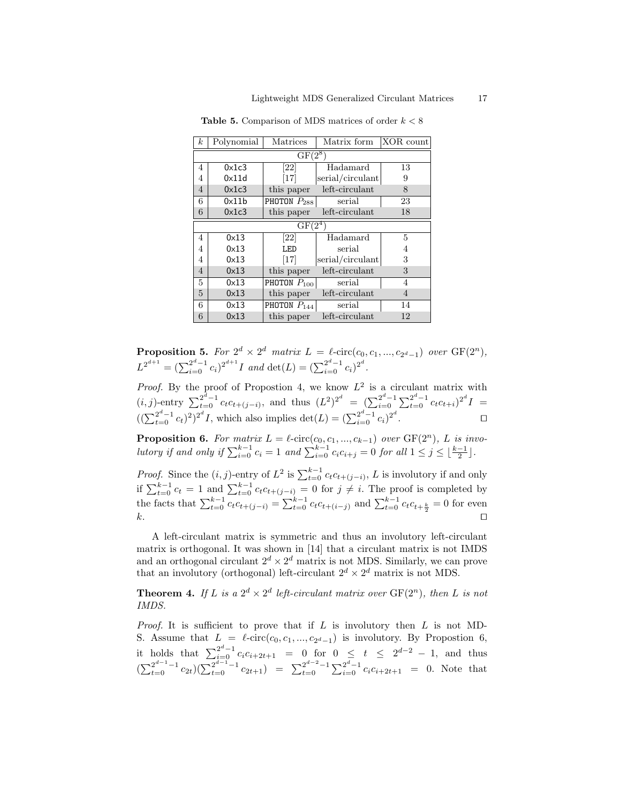| $\boldsymbol{k}$ | Polynomial      | Matrices                    | Matrix form      | XOR count      |  |  |  |  |  |  |
|------------------|-----------------|-----------------------------|------------------|----------------|--|--|--|--|--|--|
|                  | $GF(2^8)$       |                             |                  |                |  |  |  |  |  |  |
| $\overline{4}$   | 0x1c3           | [22]                        | Hadamard         | 13             |  |  |  |  |  |  |
| $\overline{4}$   | 0x11d           | $[17]$                      | serial/circulant | 9              |  |  |  |  |  |  |
| $\overline{4}$   | $0 \times 1$ c3 | this paper                  | left-circulant   | 8              |  |  |  |  |  |  |
| 6                | 0x11b           | PHOTON $P_{288}$            | serial           | 23             |  |  |  |  |  |  |
| 6                | $0 \times 1$ c3 | this paper                  | left-circulant   | 18             |  |  |  |  |  |  |
|                  |                 | $\overline{\text{GF}}(2^4)$ |                  |                |  |  |  |  |  |  |
| $\overline{4}$   | $0\times13$     | [22]                        | Hadamard         | 5              |  |  |  |  |  |  |
| 4                | $0\times13$     | LED                         | serial           | 4              |  |  |  |  |  |  |
| 4                | $0\times13$     | $[17]$                      | serial/circulant | 3              |  |  |  |  |  |  |
| $\overline{4}$   | $0\times13$     | this paper                  | left-circulant   | 3              |  |  |  |  |  |  |
| 5                | $0\times13$     | PHOTON $P_{100}$            | serial           | 4              |  |  |  |  |  |  |
| 5                | $0\times13$     | this paper                  | left-circulant   | $\overline{4}$ |  |  |  |  |  |  |
| 6                | $0\times13$     | PHOTON $P_{144}$            | serial           | 14             |  |  |  |  |  |  |
| 6                | 0x13            | this paper                  | left-circulant   | 12             |  |  |  |  |  |  |

**Table 5.** Comparison of MDS matrices of order  $k < 8$ 

**Proposition 5.** For  $2^d \times 2^d$  matrix  $L = \ell$ -circ $(c_0, c_1, ..., c_{2^d-1})$  over  $GF(2^n)$ ,  $L^{2^{d+1}} = \left(\sum_{i=0}^{2^d-1} c_i\right)^{2^{d+1}} I$  and  $\det(L) = \left(\sum_{i=0}^{2^d-1} c_i\right)^{2^d}$ .

*Proof.* By the proof of Propostion 4, we know  $L^2$  is a circulant matrix with  $(i, j)$ -entry  $\sum_{t=0}^{2^d-1} c_t c_{t+(j-i)}$ , and thus  $(L^2)^{2^d} = (\sum_{i=0}^{2^d-1} \sum_{t=0}^{2^d-1} c_t c_{t+i})^{2^d} I$  $((\sum_{t=0}^{2^d-1} c_t)^2)^{2^d} I$ , which also implies det(L) =  $(\sum_{i=0}^{2^d-1} c_i)^{2^d}$ . □

**Proposition 6.** For matrix  $L = \ell$ -circ $(c_0, c_1, ..., c_{k-1})$  over  $GF(2^n)$ , L is involutory if and only if  $\sum_{i=0}^{k-1} c_i = 1$  and  $\sum_{i=0}^{k-1} c_i c_{i+j} = 0$  for all  $1 \le j \le \lfloor \frac{k-1}{2} \rfloor$ .

*Proof.* Since the  $(i, j)$ -entry of  $L^2$  is  $\sum_{t=0}^{k-1} c_t c_{t+(j-i)}$ , L is involutory if and only if  $\sum_{t=0}^{k-1} c_t = 1$  and  $\sum_{t=0}^{k-1} c_t c_{t+(j-i)} = 0$  for  $j \neq i$ . The proof is completed by the facts that  $\sum_{t=0}^{k-1} c_t c_{t+(j-i)} = \sum_{t=0}^{k-1} c_t c_{t+(i-j)}$  and  $\sum_{t=0}^{k-1} c_t c_{t+\frac{k}{2}} = 0$  for even  $k$ .

A left-circulant matrix is symmetric and thus an involutory left-circulant matrix is orthogonal. It was shown in [14] that a circulant matrix is not IMDS and an orthogonal circulant  $2^d \times 2^d$  matrix is not MDS. Similarly, we can prove that an involutory (orthogonal) left-circulant  $2^d \times 2^d$  matrix is not MDS.

**Theorem 4.** If L is a  $2^d \times 2^d$  left-circulant matrix over  $GF(2^n)$ , then L is not IMDS.

*Proof.* It is sufficient to prove that if L is involutory then L is not MD-S. Assume that  $L = \ell$ -circ $(c_0, c_1, ..., c_{2^d-1})$  is involutory. By Propostion 6, it holds that  $\sum_{i=0}^{2^d-1} c_i c_{i+2t+1} = 0$  for  $0 \leq t \leq 2^{d-2} - 1$ , and thus  $(\sum_{t=0}^{2^{d-1}-1} c_{2t})(\sum_{t=0}^{2^{d-1}-1} c_{2t+1}) = \sum_{t=0}^{2^{d-2}-1} \sum_{i=0}^{2^{d}-1} c_i c_{i+2t+1} = 0$ . Note that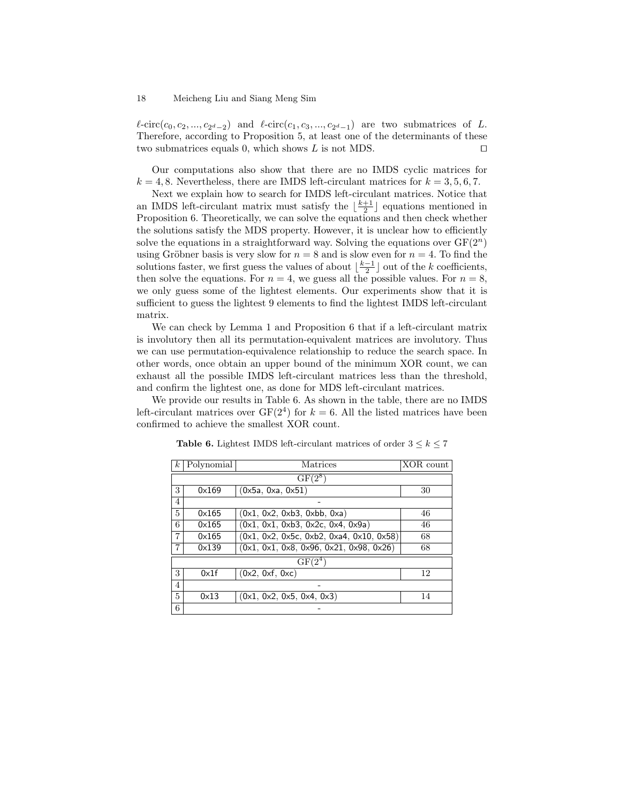$\ell$ -circ $(c_0, c_2, ..., c_{2^d-2})$  and  $\ell$ -circ $(c_1, c_3, ..., c_{2^d-1})$  are two submatrices of L. Therefore, according to Proposition 5, at least one of the determinants of these two submatrices equals 0, which shows  $L$  is not MDS.  $\Box$ 

Our computations also show that there are no IMDS cyclic matrices for  $k = 4, 8$ . Nevertheless, there are IMDS left-circulant matrices for  $k = 3, 5, 6, 7$ .

Next we explain how to search for IMDS left-circulant matrices. Notice that an IMDS left-circulant matrix must satisfy the  $\lfloor \frac{k+1}{2} \rfloor$  equations mentioned in Proposition 6. Theoretically, we can solve the equations and then check whether the solutions satisfy the MDS property. However, it is unclear how to efficiently solve the equations in a straightforward way. Solving the equations over  $GF(2<sup>n</sup>)$ using Gröbner basis is very slow for  $n = 8$  and is slow even for  $n = 4$ . To find the solutions faster, we first guess the values of about  $\lfloor \frac{k-1}{2} \rfloor$  out of the k coefficients, then solve the equations. For  $n = 4$ , we guess all the possible values. For  $n = 8$ , we only guess some of the lightest elements. Our experiments show that it is sufficient to guess the lightest 9 elements to find the lightest IMDS left-circulant matrix.

We can check by Lemma 1 and Proposition 6 that if a left-circulant matrix is involutory then all its permutation-equivalent matrices are involutory. Thus we can use permutation-equivalence relationship to reduce the search space. In other words, once obtain an upper bound of the minimum XOR count, we can exhaust all the possible IMDS left-circulant matrices less than the threshold, and confirm the lightest one, as done for MDS left-circulant matrices.

We provide our results in Table 6. As shown in the table, there are no IMDS left-circulant matrices over  $GF(2^4)$  for  $k = 6$ . All the listed matrices have been confirmed to achieve the smallest XOR count.

| $\boldsymbol{k}$ | Polynomial   | XOR count                                  |    |  |  |  |  |  |  |
|------------------|--------------|--------------------------------------------|----|--|--|--|--|--|--|
|                  | $GF(2^8)$    |                                            |    |  |  |  |  |  |  |
| 3                | $0\times169$ | (0x5a, 0xa, 0x51)                          | 30 |  |  |  |  |  |  |
| 4                |              |                                            |    |  |  |  |  |  |  |
| 5                | $0\times165$ | (0x1, 0x2, 0xb3, 0xbb, 0xa)                | 46 |  |  |  |  |  |  |
| 6                | $0\times165$ | (0x1, 0x1, 0xb3, 0x2c, 0x4, 0x9a)          | 46 |  |  |  |  |  |  |
| 7                | $0\times165$ | $(0x1, 0x2, 0x5c, 0xb2, 0xa4, 0x10, 0x58)$ | 68 |  |  |  |  |  |  |
| 7                | $0\times139$ | $(0x1, 0x1, 0x8, 0x96, 0x21, 0x98, 0x26)$  | 68 |  |  |  |  |  |  |
|                  | $GF(2^4)$    |                                            |    |  |  |  |  |  |  |
| 3                | 0x1f         | (0x2, 0xf, 0xc)                            | 12 |  |  |  |  |  |  |
| 4                |              |                                            |    |  |  |  |  |  |  |
| 5                | $0\times13$  | (0x1, 0x2, 0x5, 0x4, 0x3)                  | 14 |  |  |  |  |  |  |
| 6                |              |                                            |    |  |  |  |  |  |  |

**Table 6.** Lightest IMDS left-circulant matrices of order  $3 \leq k \leq 7$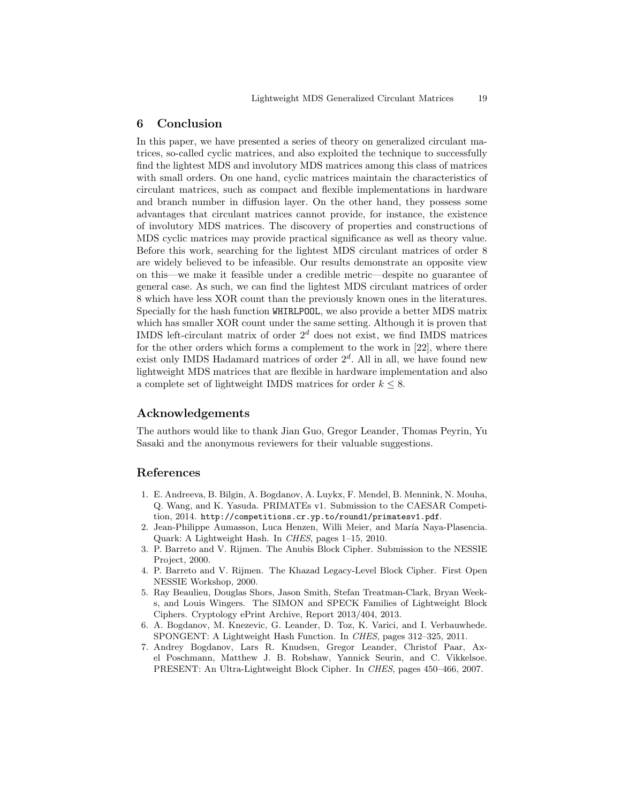### 6 Conclusion

In this paper, we have presented a series of theory on generalized circulant matrices, so-called cyclic matrices, and also exploited the technique to successfully find the lightest MDS and involutory MDS matrices among this class of matrices with small orders. On one hand, cyclic matrices maintain the characteristics of circulant matrices, such as compact and flexible implementations in hardware and branch number in diffusion layer. On the other hand, they possess some advantages that circulant matrices cannot provide, for instance, the existence of involutory MDS matrices. The discovery of properties and constructions of MDS cyclic matrices may provide practical significance as well as theory value. Before this work, searching for the lightest MDS circulant matrices of order 8 are widely believed to be infeasible. Our results demonstrate an opposite view on this—we make it feasible under a credible metric—despite no guarantee of general case. As such, we can find the lightest MDS circulant matrices of order 8 which have less XOR count than the previously known ones in the literatures. Specially for the hash function WHIRLPOOL, we also provide a better MDS matrix which has smaller XOR count under the same setting. Although it is proven that IMDS left-circulant matrix of order  $2<sup>d</sup>$  does not exist, we find IMDS matrices for the other orders which forms a complement to the work in [22], where there exist only IMDS Hadamard matrices of order  $2<sup>d</sup>$ . All in all, we have found new lightweight MDS matrices that are flexible in hardware implementation and also a complete set of lightweight IMDS matrices for order  $k \leq 8$ .

# Acknowledgements

The authors would like to thank Jian Guo, Gregor Leander, Thomas Peyrin, Yu Sasaki and the anonymous reviewers for their valuable suggestions.

### References

- 1. E. Andreeva, B. Bilgin, A. Bogdanov, A. Luykx, F. Mendel, B. Mennink, N. Mouha, Q. Wang, and K. Yasuda. PRIMATEs v1. Submission to the CAESAR Competition, 2014. http://competitions.cr.yp.to/round1/primatesv1.pdf.
- 2. Jean-Philippe Aumasson, Luca Henzen, Willi Meier, and María Nava-Plasencia. Quark: A Lightweight Hash. In CHES, pages 1–15, 2010.
- 3. P. Barreto and V. Rijmen. The Anubis Block Cipher. Submission to the NESSIE Project, 2000.
- 4. P. Barreto and V. Rijmen. The Khazad Legacy-Level Block Cipher. First Open NESSIE Workshop, 2000.
- 5. Ray Beaulieu, Douglas Shors, Jason Smith, Stefan Treatman-Clark, Bryan Weeks, and Louis Wingers. The SIMON and SPECK Families of Lightweight Block Ciphers. Cryptology ePrint Archive, Report 2013/404, 2013.
- 6. A. Bogdanov, M. Knezevic, G. Leander, D. Toz, K. Varici, and I. Verbauwhede. SPONGENT: A Lightweight Hash Function. In CHES, pages 312–325, 2011.
- 7. Andrey Bogdanov, Lars R. Knudsen, Gregor Leander, Christof Paar, Axel Poschmann, Matthew J. B. Robshaw, Yannick Seurin, and C. Vikkelsoe. PRESENT: An Ultra-Lightweight Block Cipher. In CHES, pages 450–466, 2007.